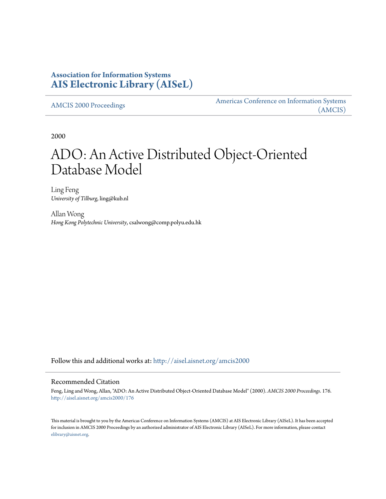## **Association for Information Systems [AIS Electronic Library \(AISeL\)](http://aisel.aisnet.org?utm_source=aisel.aisnet.org%2Famcis2000%2F176&utm_medium=PDF&utm_campaign=PDFCoverPages)**

[AMCIS 2000 Proceedings](http://aisel.aisnet.org/amcis2000?utm_source=aisel.aisnet.org%2Famcis2000%2F176&utm_medium=PDF&utm_campaign=PDFCoverPages)

[Americas Conference on Information Systems](http://aisel.aisnet.org/amcis?utm_source=aisel.aisnet.org%2Famcis2000%2F176&utm_medium=PDF&utm_campaign=PDFCoverPages) [\(AMCIS\)](http://aisel.aisnet.org/amcis?utm_source=aisel.aisnet.org%2Famcis2000%2F176&utm_medium=PDF&utm_campaign=PDFCoverPages)

2000

# ADO: An Active Distributed Object-Oriented Database Model

Ling Feng *University of Tilburg*, ling@kub.nl

Allan Wong *Hong Kong Polytechnic University*, csalwong@comp.polyu.edu.hk

Follow this and additional works at: [http://aisel.aisnet.org/amcis2000](http://aisel.aisnet.org/amcis2000?utm_source=aisel.aisnet.org%2Famcis2000%2F176&utm_medium=PDF&utm_campaign=PDFCoverPages)

#### Recommended Citation

Feng, Ling and Wong, Allan, "ADO: An Active Distributed Object-Oriented Database Model" (2000). *AMCIS 2000 Proceedings*. 176. [http://aisel.aisnet.org/amcis2000/176](http://aisel.aisnet.org/amcis2000/176?utm_source=aisel.aisnet.org%2Famcis2000%2F176&utm_medium=PDF&utm_campaign=PDFCoverPages)

This material is brought to you by the Americas Conference on Information Systems (AMCIS) at AIS Electronic Library (AISeL). It has been accepted for inclusion in AMCIS 2000 Proceedings by an authorized administrator of AIS Electronic Library (AISeL). For more information, please contact [elibrary@aisnet.org.](mailto:elibrary@aisnet.org%3E)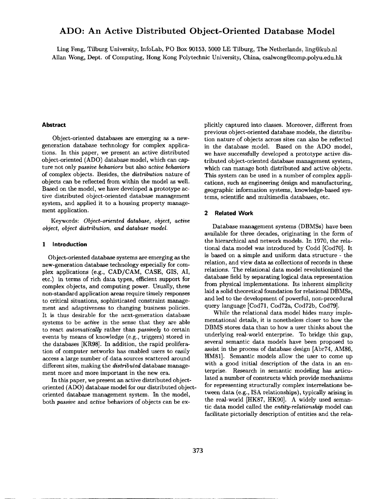### **ADO: An Active Distributed Object-Oriented Database Model**

Ling Feng, Tilburg University, InfoLab, PO Box 90153, 5000 LE Tilburg, The Netherlands, ling@kub.nl Allan Wong, Dept. of Computing, Hong Kong Polytechnic University, China, csalwong@comp.polyu.edu.hk

#### **Abstract**

Object-oriented databases are emerging as a newgeneration database technology for complex applications. In this paper, we present an active distributed object-oriented (ADO) database model, which can capture not only *passive behaviors* but also *active behaviors*  of complex objects. Besides, the *distribution* nature of objects can be reflected from within the model as well. Based on the model, we have developed a prototype **active** distributed object-oriented database management system, and applied it to a housing property management application.

Keywords: *Object-oriented database, object, active object, object distribution, and database model.* 

#### **1 Introduction**

Object-oriented database systems are emerging as the new-generation database technology especially for complex applications (e.g., CAD/CAM, CASE, GIS, AI, etc.) in terms of rich data types, efficient support for complex objects, and computing power. Usually, these non-standard application areas require timely responses to critical situations, sophisticated constraint management and adaptiveness to changing business policies. It is thus desirable for the next-generation database systems to be *active* in the sense that they are able to react *automatically* rather than *passively* to certain events by means of knowledge (e.g., triggers) stored in the databases [KR98]. In addition, the rapid proliferation of computer networks has enabled users to easily access a large number of data sources scattered around different sites, making the *distributed* database management more and more important in the new era.

In this paper, we present an active distributed objectoriented (ADO) database model for our distributed objectoriented database management system. In the model, both *passive and active* behaviors of objects can be explicitly captured into classes. Moreover, different from previous object-oriented database models, the distribution nature of objects across sites can also be reflected in the database model. Based on the ADO model, we have successfully developed a prototype active distributed object-oriented database management system, which can manage both distributed and active objects. This system can be used in a number of complex applications, such as engineering design and manufacturing, geographic information systems, knowledge-based systems, scientific and multimedia databases, etc.

#### **2 Related Work**

Database management systems (DBMSs) have been available for three decades, originating in the form of the hierarchical and network models. In 1970, the relational data model was introduced by Codd [Cod70]. It **is** based on a simple and uniform data structure - the relation, and view data as collections of records in these relations. The relational data model revolutionized the database field by separating logical data representation from physical implementations. Its inherent simplicity laid a solid theoretical foundation for relational DBMSs, and led to the development of powerful, non-procedural query language [Cod71, Cod72a, Cod72b, Cod79].

While the relational data model hides many implementational details, it is nonetheless closer to how the DBMS stores data than to how a user thinks about the underlying real-world enterprise. To bridge this gap, several semantic data models have been proposed to assist in the process of database design [Abr74, AM86, HM81]. Semantic models allow the user to come up with a good initial description of the data in an enterprise. Research in semantic modeling has articulated a number of constructs which provide mechanisms for representing structurally complex interrelations between data (e.g., ISA relationships), typically arising in the real-world [HK87, HK90]. A widely used semantic data model called the *entity-relationship* model can **facilitate** pictorially description of entities and the rela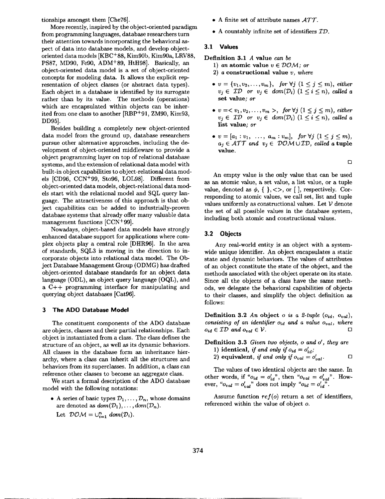tionships amongst them [Che76].

More recently, inspired by the object-oriented paradigm from programming languages, database researchers turn their attention towards incorporating the behavioral aspect of data into database models, and develop objectoriented data models [KBC+88, Kim90b, Kim90a, LRV88, PS87, MD90, Fe90, ADM+89, HtH98]. Basically, an object-oriented data model is a set of object-oriented concepts for modeling data. It allows the explicit representation of object classes (or abstract data types). Each object in a database is identified by its surrogate rather than by its value. The methods (operations) which are encapsulated within objects can be inherited from one class to another [RBP+91, ZM90, Kim93, DD95].

Besides building a completely new object-oriented data model from the ground up, database researchers pursue other alternative approaches, including the development of object-oriented middleware to provide a object programming layer on top of relational database systems, and the extension of relational data model with built-in object capabilities to object-relational data models [CD96, CCN+99, Sto96, LOL98]. Different from object-oriented data models, object-relational data models start with the relational model and SQL query language. The attractiveness of this approach is that object capabilities can be added to industrially-proven database systems that already offer many valuable data management functions [CCN+99].

Nowadays, object-based data models have strongly enhanced database support for applications where complex objects play a central role [DHR96]. In the area of standards, SQL3 is moving in the direction to incorporate objects into relational data model. The Object Database Management Group (ODMG) has drafted object-oriented database standards for an object **data**  language (ODL), an object query language (OQL), and a C++ programming interface for manipulating and querying object databases [Cat96].

#### **3 The ADO Database Model**

The constituent components of the ADO database are objects, classes and their partial relationships. Each object is instantiated from a class. The class defines the structure of an object, as well as its dynamic behaviors. All classes in the database form an inheritance hierarchy, where a class can inherit all the structures and behaviors from its superclasses. In addition, a class can reference other classes to become an aggregate class.

We start a formal description of the ADO database model with the following notations:

• A series of basic types  $\mathcal{D}_1,\ldots,\mathcal{D}_n$ , whose domains are denoted as  $dom(\mathcal{D}_1), \ldots, dom(\mathcal{D}_n)$ . Let  $\mathcal{DOM} = \bigcup_{i=1}^n \text{dom}(\mathcal{D}_i).$ 

- A finite set of attribute names *AT7-.*
- A countably infinite set of identifiers  $ID$ .

#### **3.1 Values**

**Definition** 3.1 A value *can be* 

- 1) *an* atomic value  $v \in \mathcal{DOM}$ ; or
- 2) a constructional value *v, where*
- $v = \{v_1, v_2, \ldots, v_m\}, \text{ for } \forall j \ (1 \leq j \leq m), \text{ either }$  $v_i \in \mathcal{ID}$  or  $v_i \in dom(\mathcal{D}_i)$   $(1 \leq i \leq n)$ , called a **set** value; *or*
- $v = \langle v_1, v_2, \ldots, v_m \rangle$ , for  $\forall j \ (1 \leq j \leq m)$ , either  $v_j \in \mathcal{ID}$  or  $v_j \in dom(\mathcal{D}_i)$   $(1 \leq i \leq n)$ , called a list value; *or*
- $v=[a_1:v_1, \ldots, a_m:v_m], \text{ for } \forall j \ (1 \leq j \leq m),$  $a_j \in \mathcal{ATT}$  and  $v_j \in \mathcal{DOM} \cup \mathcal{ID}$ , called a **tuple** value.

 $\overline{a}$ 

An empty value is the only value that can be used as an atomic value, a set value, a list value, or a tuple value, denoted as  $\phi$ , { }, <>, or [ ], respectively. Corresponding to atomic values, we call set, list and tuple values uniformly as constructional values. Let  $V$  denote the set of all possible values in the database system, including both atomic and constructional values.

#### 3.2 **Objects**

Any real-world entity is an object with a systemwide unique identifier. An object encapsulates a static state and dynamic behaviors. The values of attributes of an object constitute the state of the object, and the methods associated with the object operate on its state. Since all the objects of a class have the same methods, we delegate the behavioral capabilities of objects to their classes, and simplify the object definition as follows:

**Definition 3.2** An object o is a 2-tuple  $(o_{id}, o_{val})$ , *consisting of an identifier Oid and a value oval, where*   $o_{id} \in \mathcal{ID}$  and  $o_{val} \in \mathcal{V}$ .

**Definition 3.3** *Given two objects, o and o', they are* 1) **identical, if and only if**  $o_{id} = o'_{id}$ **;** 

- 2) equivalent, *if and only if*  $o_{val} = o'_{val}$ .
- 

The values of two identical objects are the same. In other words, if  $"o_{id} = o'_{id}"$ , then  $"o_{val} = o'_{val}"$ . How ever, " $o_{val} = o'_{val}$ " does not imply " $o_{id} = o'_{id}$ ".

Assume function  $ref(o)$  return a set of identifiers, referenced within the value of object o.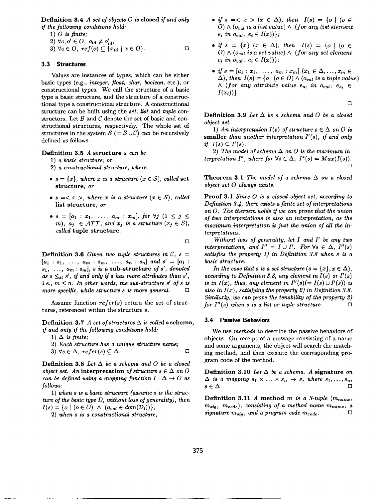Definition 3.4 *A set of objects 0 is* closed *if and only if the following conditions hold:* 

1) O *is finite;* 

$$
2) \ \forall o, o' \in O, \ o_{id} \neq o'_{id};
$$

3) 
$$
\forall o \in O, ref(o) \subseteq \{x_{id} \mid x \in O\}.
$$

#### 3.3 **Structures**

Values are instances of types, which can be either basic types (e.g., *integer, float, char, boolean,* etc.), or constructional types. We call the structure of a basic type a basic structure, and the structure of a constructional type a constructional structure. A constructional structure can be built using the *set, list and tuple* constructors. Let  $B$  and  $C$  denote the set of basic and constructional structures, respectively. The whole set of structures in the system  $S (=B\cup C)$  can be recursively defined as follows:

#### Definition 3.5 A structure *s can be*

- 1) *a basic structure; or*
- 2) *a constructional structure, where*
- $s = \{x\}$ , where x is a structure  $(x \in S)$ , called set **structure;** *or*
- $s =$ , where x is a structure  $(x \in S)$ , called **list structure;** *or*
- $s = [a_1 : x_1, \ldots, a_m : x_m],$  for  $\forall j$   $(1 \leq j \leq j)$ m),  $a_i \in \mathcal{ATT}$ , and  $x_i$  is a structure  $(x_i \in \mathcal{S})$ , *called* tuple **structure.**

 $\Box$ 

**Definition 3.6** Given two tuple structures in  $C$ ,  $s =$  $[a_1 : s_1, \ldots, a_m : s_m, \ldots, a_n : s_n]$  and  $s' = [a_1 : s_1, \ldots, a_m : s_m]$  $s_1, \ldots, a_m : s_m$ , *s* is a sub-structure *of s'*, denoted as  $s \leq_{st} s'$ , if and only if s has more attributes than  $s'$ , *i.e.,*  $m \leq n$ *. In other words, the sub-structure s' of s is more specific, while structure s is more general.*  $\Box$ 

Assume function *refer(s)* return the set of structures, referenced within the structure s.

Definition 3.7 A set of structures  $\Delta$  is called a schema, *if and only if the following conditions hold:* 

- 1)  $\Delta$  *is finite;*
- 2) *Each structure has a unique structure name;*

3)  $\forall s \in \Delta$ ,  $refer(s) \subseteq \Delta$ . Definition 3.8 *Let A be a schema and 0 be a closed object set. An* interpretation *of structure*  $s \in \Delta$  *on O* 

*can be defined using a mapping function*  $I: \Delta \rightarrow O$  *as follows:* 

1) *when s is a basic structure (assume s is the structure of the basic type Di without loss of generality), then*   $I(s) = \{o \mid (o \in O) \land (o_{val} \in dom(\mathcal{D}_i))\};$ 

2) *when s is a constructional structure,* 

- if  $s = \langle x \rangle (x \in \Delta)$ , then  $I(s) = \{o \mid (o \in \Delta) \}$  $O) \wedge (o_{val}$  is a list value)  $\wedge$  (for any list element  $e_i$  in  $o_{val}$ ,  $e_i \in I(x)$ };
- *if*  $s = \{x\}$   $(x \in \Delta)$ , *then*  $I(s) = \{o \mid (o \in \Delta)\}$ *O)*  $\wedge$  (*oval is a set value*)  $\wedge$  (*for any set element*  $e_i$  in  $o_{val}$ ,  $e_i \in I(x)$ };
- *if*  $s = [a_1 : x_1, \ldots, a_m : x_m]$   $(x_1 \in \Delta, \ldots, x_m \in$  $\Delta$ ), then  $I(s) = \{o \mid (o \in O) \wedge (o_{val} \text{ is a tuple value})\}$  $\wedge$  (for any attribute value  $e_a$ , in  $o_{val}$ ,  $e_a$ .  $\in$  $I(x_i))$ .

 $\Box$ 

Definition 3.9 *Let A be a schema and O be a closed object set.* 

1) An interpretation  $I(s)$  of structure  $s \in \Delta$  on O is smaller than another interpretation  $I'(s)$ , if and only *if*  $I(s) \subset I'(s)$ .

2) The model of schema  $\Delta$  on O is the maximum in*terpretation I\*, where for*  $\forall s \in \Delta$ ,  $I^*(s) = Max(I(s))$ . *[]* 

**Theorem 3.1** *The model of a schema*  $\Delta$  *on a closed object set 0 always exists.* 

Proof 3.1 *Since 0 is a closed object set, according to Definition 3.4, there exists a finite set of interpretations on O. The theroem holds if we can prove that the union of two interpretations is also an interpretation, as the maximum interpretation is just the union of all the interpretations.* 

Without loss of generality, let I and I' be any two *interpretations, and*  $I'' = I \cup I'$ *. For*  $\forall s \in \Delta$ ,  $I''(s)$ *satisfies the property 1) in Definition 3.8 when s is a basic structure.* 

*In the case that s is a set structure*  $(s = \{x\}, x \in \Delta)$ , *according to Definition 3.8, any element in*  $I(s)$  *or*  $I'(s)$ *is in I(x), thus, any element in*  $I''(s) (= I(s) \cup I'(s))$  *is also in I(x), satisfying the property 2) in Definition 3.8. Similarly, we can prove the tenability of the property 2) for I"(s) when s is a list or tuple structure.*  $\Box$ 

#### **3.4 Passive Behaviors**

We use *methods* to describe the passive behaviors of objects. On receipt of a message consisting of a name and some arguments, the object will search the matching method, and then execute the corresponding program code of the method.

Definition 3.10 Let  $\Delta$  be a schema. A signature on  $\Delta$  is a mapping  $s_1 \times \ldots \times s_n \rightarrow s$ , where  $s_1, \ldots, s_n$ ,  $s\in\Delta$ .

Definition 3.11 A method  $m$  is a 3-tuple  $(m_{name},$  $(m_{sig}, m_{code})$ , consisting of a method name  $m_{name}$ , a *signature*  $m_{sig}$ , and a program code  $m_{code}$ .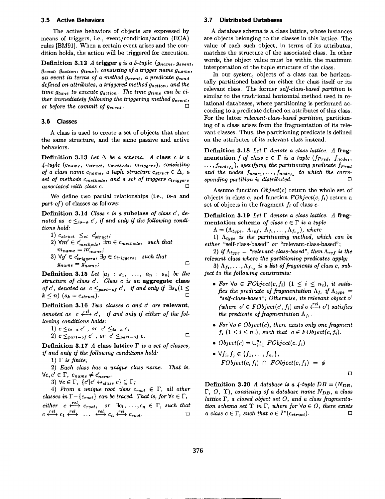#### **3.5 Active Behaviors**

The active behaviors of objects are expressed by means of triggers, i.e., event/condition/action (ECA) rules IBM91]. When a certain event arises and the condition holds, the action will be triggered for execution.

Definition 3.12 A trigger *g* is a 5-tuple ( $g_{name}$ ,  $g_{event}$ ) *gcond, gaction , grime), consisting of a trigger name gnarne ,*  an event in terms of a method  $g_{event}$ , a predicate  $g_{cond}$ *defined on attributes, a triggered method gaction, and the time gtime to execute gaction. The time grime can be either immediately following the triggering method gevent, or before the commit of gevent.*  $\Box$ 

#### **3.fi Classes**

A class is used to create a set of objects that share the same structure, and the same passive and active behaviors.

**Definition 3.13** Let  $\Delta$  be a schema. A **class**  $c$  is a  $\emph{4-tuple}$  (*Cname, Cstruct, Cmethods, Ctriggers*), *consisting of a class name*  $c_{name}$ *, a tuple structure*  $c_{struct} \in \Delta$ , a *set of methods*  $c_{methods}$ *, and a set of triggers*  $c_{triggers}$  $associated$  with class  $c$ .

We define two partial relationships (i.e., *is-a* and *part-of)* of classes as follows:

Definition 3.14 *Class c is a* subclass *of class c', de*noted as  $c \leq_{is-a} c'$ , if and only if the following condi*tions hold:* 

- 1)  $c_{struct} \leq st \ c'_{struct}$ ;
- 2)  $\forall m' \in c'_{methods}$ ,  $\exists m \in c_{methods}$ , such that  $m_{name} = m_{name}$ ;
- $3) \ \forall g' \in c'_{triagera}, \ \exists g \in c_{triggers}, \text{ such that }$  $g_{name} = g'_{name}$ ;  $\Box$

**Definition 3.15** *Let*  $[a_1 : s_1, ..., a_n : s_n]$  *be the structure of class d. Class c is an* **aggregate class**  *of c', denoted as*  $c \leq_{part-of} c'$ *, if and only if*  $\exists s_k (1 \leq$  $k \leq n$ )  $(s_k = c_{struct})$ .

Definition 3.16 *Two classes c and c' are relevant*, *denoted as*  $c \xleftrightarrow{\text{rel}} c'$ , if and only if either of the fol*lowing conditions holds:* 

1) 
$$
c \leq_{is-a} c'
$$
, or  $c' \leq_{is-a} c$ ;

2) 
$$
c \leq_{part-of} c'
$$
, or  $c' \leq_{part-of} c$ .

Definition 3.17 A **class lattice** F *is a set of classes, if and only if the following conditions hold:* 

1)  $\Gamma$  *is finite;* 

2) *Each class has a unique class name. That is,*   $\forall c, c' \in \Gamma, \ c_{name} \neq c'_{name}.$ 

3)  $\forall c \in \Gamma, \ \{c'|c' \leftrightarrow_{class} c\} \subseteq \Gamma;$ 

4) *From a unique root class*  $c_{root} \in \Gamma$ , all other *classes in*  $\Gamma - \{c_{root}\}$  *can be traced. That is, for*  $\forall c \in \Gamma$ , *either c*  $\longleftrightarrow$   $c_{root}$ , or  $\exists c_1, \ldots, c_n \in \Gamma$ , such that  $c \stackrel{rel}{\longleftrightarrow} c_1 \stackrel{rel}{\longleftrightarrow} \dots \stackrel{rel}{\longleftrightarrow} c_n \stackrel{rel}{\longleftrightarrow} c_{root}.$ 

#### **3.7 Distributed Databases**

A database schema is a class lattice, whose instances are objects belonging to the classes in this lattice. The value of each such object, in terms of its attributes, matches the structure of the associated class. In other words, the object value must be within the maximum interpretation of the tuple structure of the class.

In our system, objects of a class can be horizontally partitioned based on either the class itself or its relevant class. The former *self-class-based partition* is similar to the traditional horizontal method used in relational databases, where partitioning is performed according to a predicate defined on attributes of this class. For the latter *relevant-class-based partition,* partitioning of a class arises from the fragmentation of its relevant classes. Thus, the partitioning predicate is defined on the attributes of its relevant class instead.

Definition 3.18 *Let F denote a class lattice. A* fragmentation f of *class*  $c \in \Gamma$  is a tuple (f<sub>Pred</sub>, f<sub>node1</sub>,  $\dots, f_{node_{f_n}}),$  specifying the partitioning predicate  $f_{Pred}$ and the nodes  $f_{node_1}, \ldots, f_{node_{f_n}}$  to which the corre*sponding partition is distributed. []* 

Assume function *Object(c)* return the whole set of objects in class  $c$ , and function  $FObject(c, f_i)$  return a set of objects in the fragment  $f_i$  of class  $c$ .

Definition 3.19 *Let F denote a class lattice. A* fragmentation schema *of class*  $c \in \Gamma$  *is a tuple* 

 $\Lambda = (\Lambda_{type}, \Lambda_{ref}, \Lambda_{f_1}, \ldots, \Lambda_{f_{n_c}}),$  where

1)  $\Lambda_{type}$  is the partitioning method, which can be *either* "self-class-based" *or* "relevant-class-based";

2) *if*  $\Lambda_{t \nu \nu e}$  = "relevant-class-based", then  $\Lambda_{ref}$  is the *relevant class where the partitioning predicates apply;* 

3)  $\Lambda_{f_1}, \ldots, \Lambda_{f_{n_c}}$  is a list of fragments of class c, sub*ject to the following constraints:* 

- For  $\forall o \in FObject(c, f_i) \ (1 \leq i \leq n_c),$  *it satisfies the predicate of fragmentation*  $\Lambda_{f_i}$  *if*  $\Lambda_{type}$  = *"self-class-based'; Otherwise, its relevant object o' (where*  $o' \in FObject(c', f_i)$  *and*  $o \xleftrightarrow{rel} o'$ *) satisfies the predicate of fragmentation*  $\Lambda_{f_i}$ .
- For  $\forall o \in Object(c)$ , there exists only one fragment  $f_i$   $(1 \leq i \leq n_c)$ , such that  $o \in FObject(c, f_i)$ .
- $Object(c) = \bigcup_{i=1}^{n_c} FObject(c, f_i)$
- $\forall f_i, f_j \in \{f_1, \ldots, f_{n_c}\},\$  $FObject(c, f_i) \cap FObject(c, f_j) = \phi$

*[]* 

Definition 3.20 *A database is a 4-tuple DB* =  $(N_{DB},$  $\Gamma$ ,  $O$ ,  $\Upsilon$ ), *consisting of a database name N<sub>DB</sub>*, a class *lattice F, a closed object set O, and a class fragmentation schema set*  $\Upsilon$  *in*  $\Gamma$ *, where for*  $\forall o \in O$ *, there exists a class c*  $\in$   $\Gamma$ *, such that*  $o \in I^*(c_{struct})$ *.*  $\square$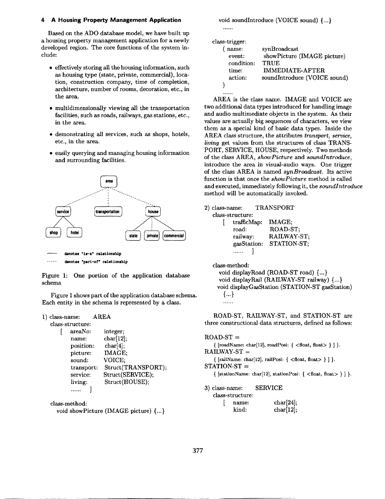#### **4 A Housing Property Management Application**

Based on the ADO database model, we have built up a housing property management application for a newly developed region. The core functions of the system include:

- effectively storing all the housing information, such as housing type (state, private, commercial), location, construction company, time of completion, architecture, number of rooms, decoration, etc., in the area.
- multidimensionally viewing all the transportation facilities, such as roads, railways, gas stations, etc., in the area.
- demonstrating all services, such as shops, hotels, etc., in the area.
- easily querying and managing housing information and surrounding facilities.



denotes "part-of" relationship

Figure 1: One portion of the application database schema

Figure 1 shows part of the application database schema. Each entity in the schema is represented by a class.

```
1) class-name: AREA
```

| class-structure: |                    |
|------------------|--------------------|
| areaNo:          | integer;           |
| name:            | $char[12]$ ;       |
| position:        | char[4];           |
| picture:         | IMAGE;             |
| sound:           | VOICE;             |
| transport:       | Struct(TRANSPORT); |
| service:         | Struct(SERVICE);   |
| living:          | Struct(HOUSE);     |
|                  |                    |

class-method:

```
void showPicture (IMAGE picture) {...}
```
void soundIntroduce (VOICE sound) {...}  $\ldots$ 

| name:      | synBroadcast                 |
|------------|------------------------------|
| event:     | showPicture (IMAGE picture)  |
| condition: | TRUE                         |
| time:      | <b>IMMEDIATE-AFTER</b>       |
| action:    | soundIntroduce (VOICE sound) |
|            |                              |

AREA is the class name. IMAGE and VOICE are two additional data types introduced for handling image and audio multimediate objects in the system. As their values are actually big sequences of characters, we view them as a special kind of basic data types. Inside the AREA class structure, the attributes *transport, service, livin9* get values from the structures of class TRANS-PORT, SERVICE, HOUSE, respectively. Two methods of the class AREA, *showPicture* and *soundlntroduce,*  introduce the area in visual-audio ways. One trigger of the class AREA is named *synBroadcast.* Its active function is that once the *showPicture* method is called and executed, immediately following it, the *soundlntroduce*  method will be automatically invoked.

2) class-name: TRANSPORT class-structure:

| .               |             |
|-----------------|-------------|
| trafficMap:     | IMAGE:      |
| road:           | ROAD-ST;    |
| railway:        | RAILWAY-ST; |
| gasStation:     | STATION-ST; |
| $\ldots \ldots$ |             |

class-method:

```
void displayRoad (ROAD-ST road) {...} 
void displayRail (RAILWAY-ST railway) {...} 
void displayGasStation (STATION-ST gasStation) 
  {...} 
  . . . . . .
```
ROAD-ST, RAILWAY-ST, and STATION-ST are three constructional data structures, defined as follows:

```
ROAD-ST ={[roadName: char[12], roadPosi: { <float, float> } ] }.RAILWAY-ST = 
   { [railName: char[12], railPosi: \{ <float, float> \} \}.
STATION-ST ={ [stationName: char[12], stationPos: { <float, float> } } ] }.
```
3) class-name: SERVICE

| class-structure: |              |  |
|------------------|--------------|--|
| name:            | char[24];    |  |
| kind:            | $char[12]$ ; |  |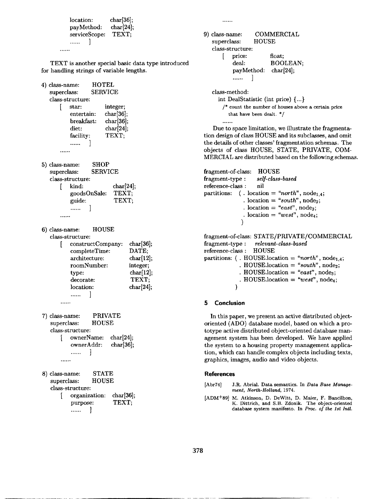| location:     | char[36]; |
|---------------|-----------|
| payMethod:    | char[24]; |
| serviceScope: | TEXT;     |
| <u>.</u>      |           |
|               |           |

TEXT is another special basic data type introduced for handling strings of variable lengths.

```
4) class-name: HOTEL 
   superclass: SERVICE 
   class-structure: 
      [ star: integer; 
          entertain: char<sup>[36]</sup>;
          breakfast: char[36];
           diet: char<sup>[24]</sup>;
          facility: TEXT; 
           ...... 
       . . . . . .
```
5) class-name: SHOP superclass: SERVICE class-structure:  $\text{kind:}$  char $[24]$ ; goodsOnSale: TEXT; guide: TEXT; ......

$$
...
$$

6) class-name: HOUSE class-structure: [ constructCompany: char[36];

| completeTime: | DATE;     |
|---------------|-----------|
| architecture: | char[12]; |
| roomNumber:   | integer;  |
| type:         | char[12]; |
| decorate:     | TEXT:     |
| location:     | char[24]; |
| .             |           |
|               |           |

- 7) class-name: PRIVATE superclass: HOUSE class-structure: ownerName: char[24]; ownerAddr: char[36]; -1 ...... . . . . . .
- 8) class-name: STATE superclass: HOUSE class-structure:
	- organization: char[36];<br>purpose: TEXT; purpose: ......

 $\cdots$ 

```
9) class-name: COMMERCIAL 
  superclass: HOUSE 
  class-structure: 
     [ price: float; 
        deal: BOOLEAN;
        payMethod: char[24]; 
        ...... 
              1
```
class-method:

int DealStatistic (int price) {...}

/\* count the number of houses above a certain price that have been dealt. \*/ . . . . .

Due to space limitation, we illustrate the fragmentation design of class HOUSE and its subclasses, and omit the details of other classes' fragmentation schemas. The objects of class HOUSE, STATE, PRIVATE, COM-MERCIAL are distributed based on the following schemas.

```
fragment-of-class: HOUSE 
fragment-type : self-class-based 
reference-class : nil 
partitions: (. location = "north", node<sub>1.4</sub>;
                \ldots location = "south", node<sub>2</sub>;
                cdot location = "east", node<sub>3</sub>;
                \cdot location = "west", node<sub>4</sub>;
               ) 
fragment-of-class: STATE/PRIVATE/COMMERCIAL 
fragment-type : relevant-class-based 
reference-class : HOUSE 
partitions: (. HOUSE.location = "north", node<sub>1.4</sub>;
               . HOUSE.location = "south", node<sub>2</sub>;
```
 $+$  HOUSE.location  $=$  "east", node<sub>3</sub>;

 $HOUS E. location = "west", node_4;$ 

#### **5 Conclusion**

)

In this paper, we present an active distributed objectoriented (ADO) database model, based on which a prototype active distributed object-oriented database management system has been developed. We have applied the system to a housing property management application, which can handle complex objects including texts, graphics, images, audio and video objects.

#### **References**

[Abr74] J.R. Abrial. Data semantics. In *Data Base Management, North-Holland,* 1974.

[ADM+89] M. Atkinson, D. DeWitt, D. Maier, F. Bancilhon, K. Dittrich, and S.B. Zdonik. The object-oriented database system manifesto. In *Proc. of the 1st Intl.*